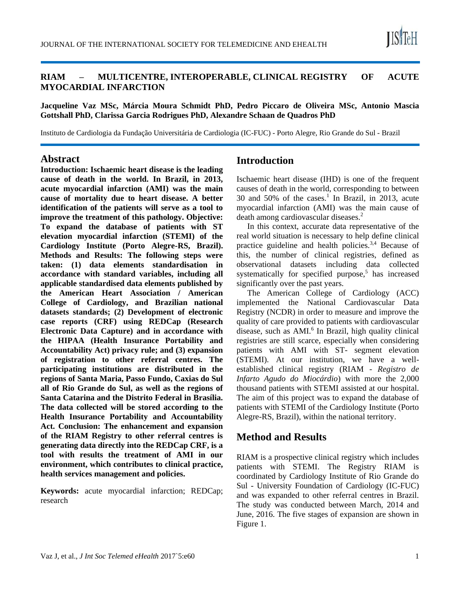

#### **RIAM – MULTICENTRE, INTEROPERABLE, CLINICAL REGISTRY OF ACUTE MYOCARDIAL INFARCTION**

**Jacqueline Vaz MSc, Márcia Moura Schmidt PhD, Pedro Piccaro de Oliveira MSc, Antonio Mascia Gottshall PhD, Clarissa Garcia Rodrigues PhD, Alexandre Schaan de Quadros PhD**

Instituto de Cardiologia da Fundação Universitária de Cardiologia (IC-FUC) - Porto Alegre, Rio Grande do Sul - Brazil

#### **Abstract**

**Introduction: Ischaemic heart disease is the leading cause of death in the world. In Brazil, in 2013, acute myocardial infarction (AMI) was the main cause of mortality due to heart disease. A better identification of the patients will serve as a tool to improve the treatment of this pathology. Objective: To expand the database of patients with ST elevation myocardial infarction (STEMI) of the Cardiology Institute (Porto Alegre-RS, Brazil). Methods and Results: The following steps were taken: (1) data elements standardisation in accordance with standard variables, including all applicable standardised data elements published by the American Heart Association / American College of Cardiology, and Brazilian national datasets standards; (2) Development of electronic case reports (CRF) using REDCap (Research Electronic Data Capture) and in accordance with the HIPAA (Health Insurance Portability and Accountability Act) privacy rule; and (3) expansion of registration to other referral centres. The participating institutions are distributed in the regions of Santa Maria, Passo Fundo, Caxias do Sul all of Rio Grande do Sul, as well as the regions of Santa Catarina and the Distrito Federal in Brasília. The data collected will be stored according to the Health Insurance Portability and Accountability Act. Conclusion: The enhancement and expansion of the RIAM Registry to other referral centres is generating data directly into the REDCap CRF, is a tool with results the treatment of AMI in our environment, which contributes to clinical practice, health services management and policies.**

**Keywords:** acute myocardial infarction; REDCap; research

### **Introduction**

Ischaemic heart disease (IHD) is one of the frequent causes of death in the world, corresponding to between 30 and 50% of the cases.<sup>1</sup> In Brazil, in 2013, acute myocardial infarction (AMI) was the main cause of death among cardiovascular diseases.<sup>2</sup>

In this context, accurate data representative of the real world situation is necessary to help define clinical practice guideline and health policies. $3,4$  Because of this, the number of clinical registries, defined as observational datasets including data collected systematically for specified purpose, $5$  has increased significantly over the past years.

The American College of Cardiology (ACC) implemented the National Cardiovascular Data Registry (NCDR) in order to measure and improve the quality of care provided to patients with cardiovascular disease, such as AMI.<sup>6</sup> In Brazil, high quality clinical registries are still scarce, especially when considering patients with AMI with ST- segment elevation (STEMI). At our institution, we have a wellestablished clinical registry (RIAM - *Registro de Infarto Agudo do Miocárdio*) with more the 2,000 thousand patients with STEMI assisted at our hospital. The aim of this project was to expand the database of patients with STEMI of the Cardiology Institute (Porto Alegre-RS, Brazil), within the national territory.

## **Method and Results**

RIAM is a prospective clinical registry which includes patients with STEMI. The Registry RIAM is coordinated by Cardiology Institute of Rio Grande do Sul - University Foundation of Cardiology (IC-FUC) and was expanded to other referral centres in Brazil. The study was conducted between March, 2014 and June, 2016. The five stages of expansion are shown in Figure 1.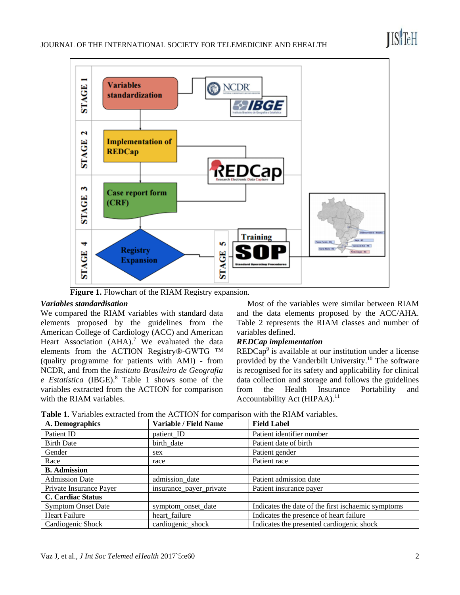

 **Figure 1.** Flowchart of the RIAM Registry expansion.

#### *Variables standardisation*

We compared the RIAM variables with standard data elements proposed by the guidelines from the American College of Cardiology (ACC) and American Heart Association  $(AHA)$ .<sup>7</sup> We evaluated the data elements from the ACTION Registry®-GWTG ™ (quality programme for patients with AMI) - from NCDR, and from the *Instituto Brasileiro de Geografia e Estatística* (IBGE).<sup>8</sup> Table 1 shows some of the variables extracted from the ACTION for comparison with the RIAM variables.

Most of the variables were similar between RIAM and the data elements proposed by the ACC/AHA. Table 2 represents the RIAM classes and number of variables defined.

#### *REDCap implementation*

 $REDCap<sup>9</sup>$  is available at our institution under a license provided by the Vanderbilt University.<sup>10</sup> The software is recognised for its safety and applicability for clinical data collection and storage and follows the guidelines from the Health Insurance Portability and Accountability Act (HIPAA).<sup>11</sup>

|  |  |  |  |  |  |  | <b>Table 1.</b> Variables extracted from the ACTION for comparison with the RIAM variables. |
|--|--|--|--|--|--|--|---------------------------------------------------------------------------------------------|
|--|--|--|--|--|--|--|---------------------------------------------------------------------------------------------|

| A. Demographics           | Variable / Field Name   | <b>Field Label</b>                                 |
|---------------------------|-------------------------|----------------------------------------------------|
| Patient ID                | patient_ID              | Patient identifier number                          |
| <b>Birth Date</b>         | birth_date              | Patient date of birth                              |
| Gender                    | sex                     | Patient gender                                     |
| Race                      | race                    | Patient race                                       |
| <b>B.</b> Admission       |                         |                                                    |
| <b>Admission Date</b>     | admission_date          | Patient admission date                             |
| Private Insurance Payer   | insurance_payer_private | Patient insurance payer                            |
| <b>C. Cardiac Status</b>  |                         |                                                    |
| <b>Symptom Onset Date</b> | symptom_onset_date      | Indicates the date of the first ischaemic symptoms |
| <b>Heart Failure</b>      | heart_failure           | Indicates the presence of heart failure            |
| Cardiogenic Shock         | cardiogenic shock       | Indicates the presented cardiogenic shock          |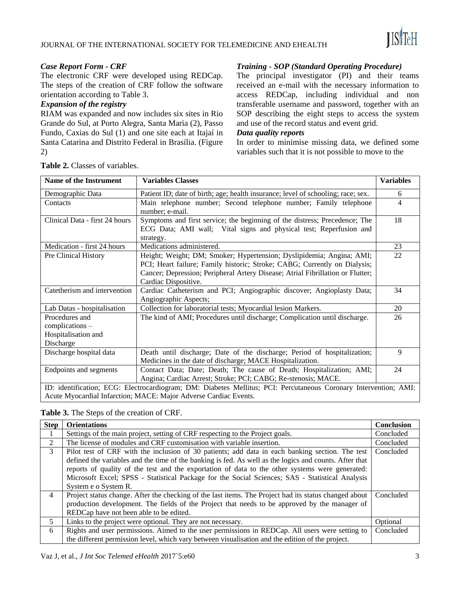

#### *Case Report Form - CRF*

The electronic CRF were developed using REDCap. The steps of the creation of CRF follow the software orientation according to Table 3.

#### *Expansion of the registry*

RIAM was expanded and now includes six sites in Rio Grande do Sul, at Porto Alegra, Santa Maria (2), Passo Fundo, Caxias do Sul (1) and one site each at Itajaí in Santa Catarina and Distrito Federal in Brasília. (Figure 2)

| Table 2. Classes of variables.                            |                                                                                                                                                                                                                                                             |                  |  |  |  |
|-----------------------------------------------------------|-------------------------------------------------------------------------------------------------------------------------------------------------------------------------------------------------------------------------------------------------------------|------------------|--|--|--|
| <b>Name of the Instrument</b><br><b>Variables Classes</b> |                                                                                                                                                                                                                                                             | <b>Variables</b> |  |  |  |
| Demographic Data                                          | Patient ID; date of birth; age; health insurance; level of schooling; race; sex.                                                                                                                                                                            | 6                |  |  |  |
| Contacts                                                  | Main telephone number; Second telephone number; Family telephone<br>number; e-mail.                                                                                                                                                                         | 4                |  |  |  |
| Clinical Data - first 24 hours                            | Symptoms and first service; the beginning of the distress; Precedence; The<br>ECG Data; AMI wall; Vital signs and physical test; Reperfusion and<br>strategy.                                                                                               | 18               |  |  |  |
| Medication - first 24 hours                               | Medications administered.                                                                                                                                                                                                                                   | 23               |  |  |  |
| Pre Clinical History                                      | Height; Weight; DM; Smoker; Hypertension; Dyslipidemia; Angina; AMI;<br>PCI; Heart failure; Family historic; Stroke; CABG; Currently on Dialysis;<br>Cancer; Depression; Peripheral Artery Disease; Atrial Fibrillation or Flutter;<br>Cardiac Dispositive. | 22               |  |  |  |
| Catetherism and intervention                              | Cardiac Catheterism and PCI; Angiographic discover; Angioplasty Data;<br>Angiographic Aspects;                                                                                                                                                              | 34               |  |  |  |
| Lab Datas - hospitalisation                               | Collection for laboratorial tests; Myocardial lesion Markers.                                                                                                                                                                                               | 20               |  |  |  |
| Procedures and<br>complications –                         | The kind of AMI; Procedures until discharge; Complication until discharge.                                                                                                                                                                                  | 26               |  |  |  |

Table 2.

Hospitalisation and

Discharge

#### *Training - SOP (Standard Operating Procedure)*

The principal investigator (PI) and their teams received an e-mail with the necessary information to access REDCap, including individual and non transferable username and password, together with an SOP describing the eight steps to access the system and use of the record status and event grid.

#### *Data quality reports*

In order to minimise missing data, we defined some variables such that it is not possible to move to the

| <b>Table 3.</b> The Steps of the creation of CRF. |
|---------------------------------------------------|
|---------------------------------------------------|

Acute Myocardial Infarction; MACE: Major Adverse Cardiac Events.

| <b>Step</b>    | <b>Orientations</b>                                                                                    | <b>Conclusion</b> |  |
|----------------|--------------------------------------------------------------------------------------------------------|-------------------|--|
|                | Settings of the main project, setting of CRF respecting to the Project goals.                          |                   |  |
| $\mathfrak{D}$ | The license of modules and CRF customisation with variable insertion.                                  | Concluded         |  |
| 3              | Pilot test of CRF with the inclusion of 30 patients; add data in each banking section. The test        | Concluded         |  |
|                | defined the variables and the time of the banking is fed. As well as the logics and counts. After that |                   |  |
|                | reports of quality of the test and the exportation of data to the other systems were generated:        |                   |  |
|                | Microsoft Excel; SPSS - Statistical Package for the Social Sciences; SAS - Statistical Analysis        |                   |  |
|                | System e o System R.                                                                                   |                   |  |
| $\overline{4}$ | Project status change. After the checking of the last items. The Project had its status changed about  | Concluded         |  |
|                | production development. The fields of the Project that needs to be approved by the manager of          |                   |  |
|                | REDCap have not been able to be edited.                                                                |                   |  |
| 5.             | Links to the project were optional. They are not necessary.                                            | Optional          |  |
| 6              | Rights and user permissions. Aimed to the user permissions in REDCap. All users were setting to        | Concluded         |  |
|                | the different permission level, which vary between visualisation and the edition of the project.       |                   |  |

Discharge hospital data Death until discharge; Date of the discharge; Period of hospitalization;

Endpoints and segments Contact Data; Date; Death; The cause of Death; Hospitalization; AMI;

Medicines in the date of discharge; MACE Hospitalization.

ID: identification; ECG: Electrocardiogram; DM: Diabetes Mellitus; PCI: Percutaneous Coronary Intervention; AMI:

Angina; Cardiac Arrest; Stroke; PCI; CABG; Re-stenosis; MACE.

9

24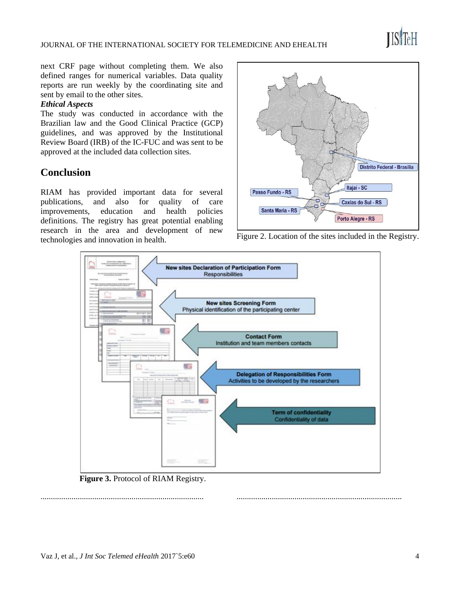

next CRF page without completing them. We also defined ranges for numerical variables. Data quality reports are run weekly by the coordinating site and sent by email to the other sites.

#### *Ethical Aspects*

The study was conducted in accordance with the Brazilian law and the Good Clinical Practice (GCP) guidelines, and was approved by the Institutional Review Board (IRB) of the IC-FUC and was sent to be approved at the included data collection sites.

# **Conclusion**

RIAM has provided important data for several publications, and also for quality of care improvements, education and health policies definitions. The registry has great potential enabling research in the area and development of new technologies and innovation in health.



Figure 2. Location of the sites included in the Registry.

................................................................................



**Figure 3.** Protocol of RIAM Registry.

Vaz J, et al., *J Int Soc Telemed eHealth* 2017`5:e60 4

...............................................................................